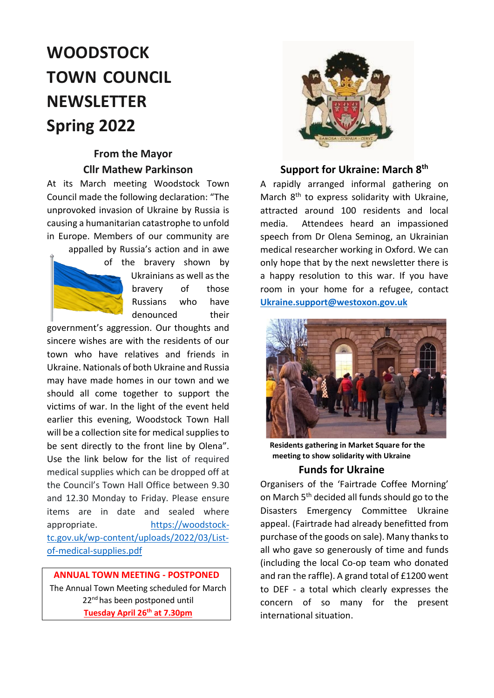# **WOODSTOCK TOWN COUNCIL NEWSLETTER Spring 2022**

## **From the Mayor Cllr Mathew Parkinson**

At its March meeting Woodstock Town Council made the following declaration: "The unprovoked invasion of Ukraine by Russia is causing a humanitarian catastrophe to unfold in Europe. Members of our community are

appalled by Russia's action and in awe of the bravery shown by Ukrainians as well as the

bravery of those Russians who have denounced their

government's aggression. Our thoughts and sincere wishes are with the residents of our town who have relatives and friends in Ukraine. Nationals of both Ukraine and Russia may have made homes in our town and we should all come together to support the victims of war. In the light of the event held earlier this evening, Woodstock Town Hall will be a collection site for medical supplies to be sent directly to the front line by Olena". Use the link below for the list of required medical supplies which can be dropped off at the Council's Town Hall Office between 9.30 and 12.30 Monday to Friday. Please ensure items are in date and sealed where appropriate. [https://woodstock](https://woodstock-tc.gov.uk/wp-content/uploads/2022/03/List-of-medical-supplies.pdf)[tc.gov.uk/wp-content/uploads/2022/03/List](https://woodstock-tc.gov.uk/wp-content/uploads/2022/03/List-of-medical-supplies.pdf)[of-medical-supplies.pdf](https://woodstock-tc.gov.uk/wp-content/uploads/2022/03/List-of-medical-supplies.pdf)

 **ANNUAL TOWN MEETING - POSTPONED** The Annual Town Meeting scheduled for March 22<sup>nd</sup> has been postponed until

**Tuesday April 26th at 7.30pm**



#### **Support for Ukraine: March 8th**

A rapidly arranged informal gathering on March 8<sup>th</sup> to express solidarity with Ukraine. attracted around 100 residents and local media. Attendees heard an impassioned speech from Dr Olena Seminog, an Ukrainian medical researcher working in Oxford. We can only hope that by the next newsletter there is a happy resolution to this war. If you have room in your home for a refugee, contact **[Ukraine.support@westoxon.gov.uk](mailto:Ukraine.support@westoxon.gov.uk)**



**Residents gathering in Market Square for the meeting to show solidarity with Ukraine**

#### **Funds for Ukraine**

Organisers of the 'Fairtrade Coffee Morning' on March 5<sup>th</sup> decided all funds should go to the Disasters Emergency Committee Ukraine appeal. (Fairtrade had already benefitted from purchase of the goods on sale). Many thanks to all who gave so generously of time and funds (including the local Co-op team who donated and ran the raffle). A grand total of £1200 went to DEF - a total which clearly expresses the concern of so many for the present international situation.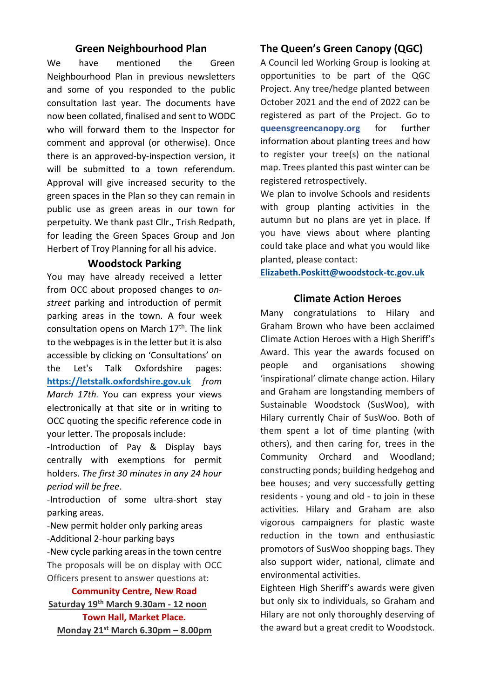#### **Green Neighbourhood Plan**

We have mentioned the Green Neighbourhood Plan in previous newsletters and some of you responded to the public consultation last year. The documents have now been collated, finalised and sent to WODC who will forward them to the Inspector for comment and approval (or otherwise). Once there is an approved-by-inspection version, it will be submitted to a town referendum. Approval will give increased security to the green spaces in the Plan so they can remain in public use as green areas in our town for perpetuity. We thank past Cllr., Trish Redpath, for leading the Green Spaces Group and Jon Herbert of Troy Planning for all his advice.

#### **Woodstock Parking**

You may have already received a letter from OCC about proposed changes to *onstreet* parking and introduction of permit parking areas in the town. A four week consultation opens on March  $17<sup>th</sup>$ . The link to the webpages is in the letter but it is also accessible by clicking on 'Consultations' on the [Let's Talk Oxfordshire](https://letstalk.oxfordshire.gov.uk/) pages: **[https://letstalk.oxfordshire.gov.uk](https://letstalk.oxfordshire.gov.uk/)** *from March 17th.* You can express your views electronically at that site or in writing to OCC quoting the specific reference code in your letter. The proposals include:

-Introduction of Pay & Display bays centrally with exemptions for permit holders. *The first 30 minutes in any 24 hour period will be free*.

-Introduction of some ultra-short stay parking areas.

-New permit holder only parking areas -Additional 2-hour parking bays -New cycle parking areas in the town centre The proposals will be on display with OCC

Officers present to answer questions at:

#### **Community Centre, New Road**

**Saturday 19th March 9.30am - 12 noon Town Hall, Market Place. Monday 21st March 6.30pm – 8.00pm**

#### **The Queen's Green Canopy (QGC)**

A Council led Working Group is looking at opportunities to be part of the QGC Project. Any tree/hedge planted between October 2021 and the end of 2022 can be registered as part of the Project. Go to **queensgreencanopy.org** for further information about planting trees and how to register your tree(s) on the national map. Trees planted this past winter can be registered retrospectively.

We plan to involve Schools and residents with group planting activities in the autumn but no plans are yet in place. If you have views about where planting could take place and what you would like planted, please contact:

**[Elizabeth.Poskitt@woodstock-tc.gov.uk](mailto:Elizabeth.Poskitt@woodstock-tc.gov.uk)**

#### **Climate Action Heroes**

Many congratulations to Hilary and Graham Brown who have been acclaimed Climate Action Heroes with a High Sheriff's Award. This year the awards focused on people and organisations showing 'inspirational' climate change action. Hilary and Graham are longstanding members of Sustainable Woodstock (SusWoo), with Hilary currently Chair of SusWoo. Both of them spent a lot of time planting (with others), and then caring for, trees in the Community Orchard and Woodland; constructing ponds; building hedgehog and bee houses; and very successfully getting residents - young and old - to join in these activities. Hilary and Graham are also vigorous campaigners for plastic waste reduction in the town and enthusiastic promotors of SusWoo shopping bags. They also support wider, national, climate and environmental activities.

Eighteen High Sheriff's awards were given but only six to individuals, so Graham and Hilary are not only thoroughly deserving of the award but a great credit to Woodstock.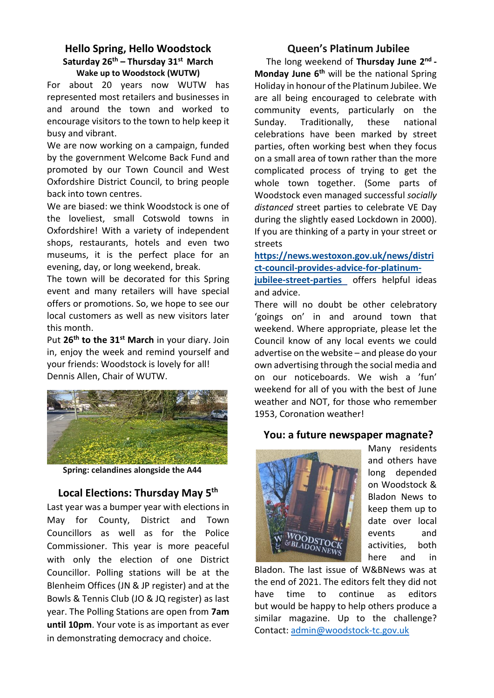#### **Hello Spring, Hello Woodstock Saturday 26th – Thursday 31 st March Wake up to Woodstock (WUTW)**

For about 20 years now WUTW has represented most retailers and businesses in and around the town and worked to encourage visitors to the town to help keep it busy and vibrant.

We are now working on a campaign, funded by the government Welcome Back Fund and promoted by our Town Council and West Oxfordshire District Council, to bring people back into town centres.

We are biased: we think Woodstock is one of the loveliest, small Cotswold towns in Oxfordshire! With a variety of independent shops, restaurants, hotels and even two museums, it is the perfect place for an evening, day, or long weekend, break.

The town will be decorated for this Spring event and many retailers will have special offers or promotions. So, we hope to see our local customers as well as new visitors later this month.

Put **26th to the 31st March** in your diary. Join in, enjoy the week and remind yourself and your friends: Woodstock is lovely for all! Dennis Allen, Chair of WUTW.



**Spring: celandines alongside the A44**

#### **Local Elections: Thursday May 5th**

Last year was a bumper year with elections in May for County, District and Town Councillors as well as for the Police Commissioner. This year is more peaceful with only the election of one District Councillor. Polling stations will be at the Blenheim Offices (JN & JP register) and at the Bowls & Tennis Club (JO & JQ register) as last year. The Polling Stations are open from **7am until 10pm**. Your vote is as important as ever in demonstrating democracy and choice.

#### **Queen's Platinum Jubilee**

The long weekend of **Thursday June 2 nd - Monday June 6th** will be the national Spring Holiday in honour of the Platinum Jubilee. We are all being encouraged to celebrate with community events, particularly on the Sunday. Traditionally, these national celebrations have been marked by street parties, often working best when they focus on a small area of town rather than the more complicated process of trying to get the whole town together. (Some parts of Woodstock even managed successful *socially distanced* street parties to celebrate VE Day during the slightly eased Lockdown in 2000). If you are thinking of a party in your street or streets

#### **[https://news.westoxon.gov.uk/news/distri](https://news.westoxon.gov.uk/news/district-council-provides-advice-for-platinum-jubilee-street-parties) [ct-council-provides-advice-for-platinum-](https://news.westoxon.gov.uk/news/district-council-provides-advice-for-platinum-jubilee-street-parties)**

**[jubilee-street-parties](https://news.westoxon.gov.uk/news/district-council-provides-advice-for-platinum-jubilee-street-parties)** offers helpful ideas and advice.

There will no doubt be other celebratory 'goings on' in and around town that weekend. Where appropriate, please let the Council know of any local events we could advertise on the website – and please do your own advertising through the social media and on our noticeboards. We wish a 'fun' weekend for all of you with the best of June weather and NOT, for those who remember 1953, Coronation weather!

#### **You: a future newspaper magnate?**



Many residents and others have long depended on Woodstock & Bladon News to keep them up to date over local events and activities, both here and in

Bladon. The last issue of W&BNews was at the end of 2021. The editors felt they did not have time to continue as editors but would be happy to help others produce a similar magazine. Up to the challenge? Contact[: admin@woodstock-tc.gov.uk](mailto:admin@woodstock-tc.gov.uk)